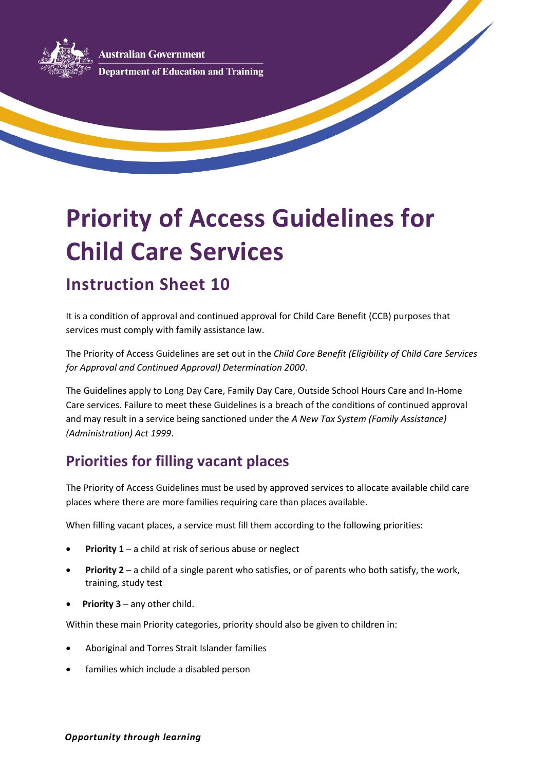**Australian Government Department of Education and Training** 

# **Priority of Access Guidelines for Child Care Services**

## **Instruction Sheet 10**

It is a condition of approval and continued approval for Child Care Benefit (CCB) purposes that services must comply with family assistance law.

The Priority of Access Guidelines are set out in the *Child Care Benefit (Eligibility of Child Care Services for Approval and Continued Approval) Determination 2000*.

The Guidelines apply to Long Day Care, Family Day Care, Outside School Hours Care and In-Home Care services. Failure to meet these Guidelines is a breach of the conditions of continued approval and may result in a service being sanctioned under the *A New Tax System (Family Assistance) (Administration) Act 1999*.

#### **Priorities for filling vacant places**

The Priority of Access Guidelines must be used by approved services to allocate available child care places where there are more families requiring care than places available.

When filling vacant places, a service must fill them according to the following priorities:

- **Priority 1** a child at risk of serious abuse or neglect
- **Priority 2** a child of a single parent who satisfies, or of parents who both satisfy, the work, training, study test
- **Priority 3** any other child.

Within these main Priority categories, priority should also be given to children in:

- Aboriginal and Torres Strait Islander families
- families which include a disabled person